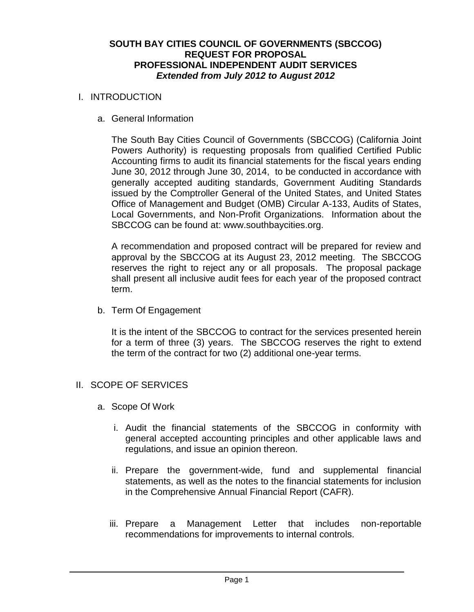### **SOUTH BAY CITIES COUNCIL OF GOVERNMENTS (SBCCOG) REQUEST FOR PROPOSAL PROFESSIONAL INDEPENDENT AUDIT SERVICES** *Extended from July 2012 to August 2012*

#### I. INTRODUCTION

a. General Information

The South Bay Cities Council of Governments (SBCCOG) (California Joint Powers Authority) is requesting proposals from qualified Certified Public Accounting firms to audit its financial statements for the fiscal years ending June 30, 2012 through June 30, 2014, to be conducted in accordance with generally accepted auditing standards, Government Auditing Standards issued by the Comptroller General of the United States, and United States Office of Management and Budget (OMB) Circular A-133, Audits of States, Local Governments, and Non-Profit Organizations. Information about the SBCCOG can be found at: www.southbaycities.org.

A recommendation and proposed contract will be prepared for review and approval by the SBCCOG at its August 23, 2012 meeting. The SBCCOG reserves the right to reject any or all proposals. The proposal package shall present all inclusive audit fees for each year of the proposed contract term.

b. Term Of Engagement

It is the intent of the SBCCOG to contract for the services presented herein for a term of three (3) years. The SBCCOG reserves the right to extend the term of the contract for two (2) additional one-year terms.

- II. SCOPE OF SERVICES
	- a. Scope Of Work
		- i. Audit the financial statements of the SBCCOG in conformity with general accepted accounting principles and other applicable laws and regulations, and issue an opinion thereon.
		- ii. Prepare the government-wide, fund and supplemental financial statements, as well as the notes to the financial statements for inclusion in the Comprehensive Annual Financial Report (CAFR).
		- iii. Prepare a Management Letter that includes non-reportable recommendations for improvements to internal controls.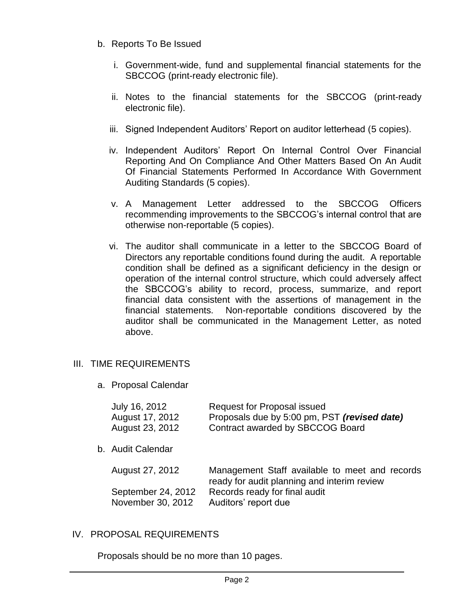### b. Reports To Be Issued

- i. Government-wide, fund and supplemental financial statements for the SBCCOG (print-ready electronic file).
- ii. Notes to the financial statements for the SBCCOG (print-ready electronic file).
- iii. Signed Independent Auditors' Report on auditor letterhead (5 copies).
- iv. Independent Auditors' Report On Internal Control Over Financial Reporting And On Compliance And Other Matters Based On An Audit Of Financial Statements Performed In Accordance With Government Auditing Standards (5 copies).
- v. A Management Letter addressed to the SBCCOG Officers recommending improvements to the SBCCOG's internal control that are otherwise non-reportable (5 copies).
- vi. The auditor shall communicate in a letter to the SBCCOG Board of Directors any reportable conditions found during the audit. A reportable condition shall be defined as a significant deficiency in the design or operation of the internal control structure, which could adversely affect the SBCCOG's ability to record, process, summarize, and report financial data consistent with the assertions of management in the financial statements. Non-reportable conditions discovered by the auditor shall be communicated in the Management Letter, as noted above.

# III. TIME REQUIREMENTS

a. Proposal Calendar

| July 16, 2012<br>August 17, 2012<br>August 23, 2012 | <b>Request for Proposal issued</b><br>Proposals due by 5:00 pm, PST (revised date)<br>Contract awarded by SBCCOG Board |
|-----------------------------------------------------|------------------------------------------------------------------------------------------------------------------------|
| b. Audit Calendar                                   |                                                                                                                        |
| August 27, 2012                                     | Management Staff available to meet and records<br>ready for audit planning and interim review                          |
| September 24, 2012<br>November 30, 2012             | Records ready for final audit<br>Auditors' report due                                                                  |

#### IV. PROPOSAL REQUIREMENTS

Proposals should be no more than 10 pages.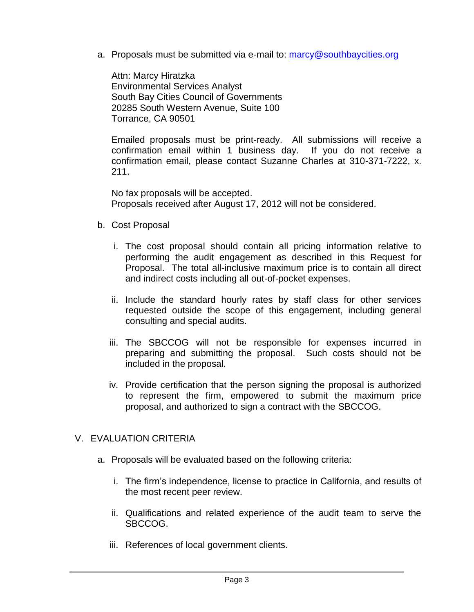a. Proposals must be submitted via e-mail to: [marcy@southbaycities.org](mailto:marcy@southbaycities.org)

Attn: Marcy Hiratzka Environmental Services Analyst South Bay Cities Council of Governments 20285 South Western Avenue, Suite 100 Torrance, CA 90501

Emailed proposals must be print-ready. All submissions will receive a confirmation email within 1 business day. If you do not receive a confirmation email, please contact Suzanne Charles at 310-371-7222, x. 211.

No fax proposals will be accepted. Proposals received after August 17, 2012 will not be considered.

- b. Cost Proposal
	- i. The cost proposal should contain all pricing information relative to performing the audit engagement as described in this Request for Proposal. The total all-inclusive maximum price is to contain all direct and indirect costs including all out-of-pocket expenses.
	- ii. Include the standard hourly rates by staff class for other services requested outside the scope of this engagement, including general consulting and special audits.
	- iii. The SBCCOG will not be responsible for expenses incurred in preparing and submitting the proposal. Such costs should not be included in the proposal.
	- iv. Provide certification that the person signing the proposal is authorized to represent the firm, empowered to submit the maximum price proposal, and authorized to sign a contract with the SBCCOG.

# V. EVALUATION CRITERIA

- a. Proposals will be evaluated based on the following criteria:
	- i. The firm's independence, license to practice in California, and results of the most recent peer review.
	- ii. Qualifications and related experience of the audit team to serve the SBCCOG.
	- iii. References of local government clients.